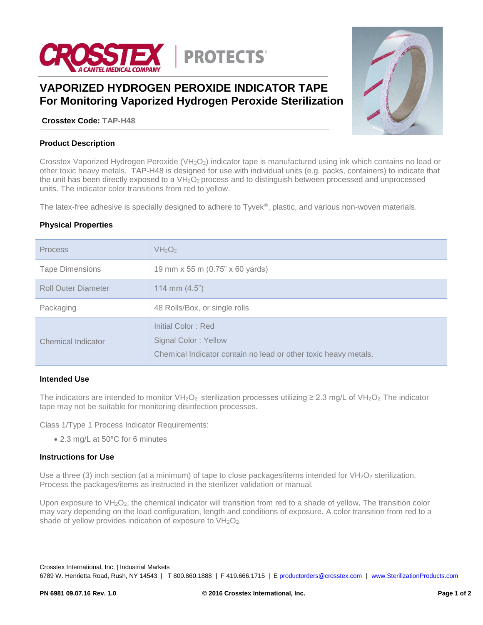

# **VAPORIZED HYDROGEN PEROXIDE INDICATOR TAPE For Monitoring Vaporized Hydrogen Peroxide Sterilization**

**Crosstex Code: TAP-H48**



## **Product Description**

Crosstex Vaporized Hydrogen Peroxide (VH<sub>2</sub>O<sub>2</sub>) indicator tape is manufactured using ink which contains no lead or other toxic heavy metals. TAP-H48 is designed for use with individual units (e.g. packs, containers) to indicate that the unit has been directly exposed to a  $VH_2O_2$  process and to distinguish between processed and unprocessed units. The indicator color transitions from red to yellow.

The latex-free adhesive is specially designed to adhere to Tyvek®, plastic, and various non-woven materials.

## **Physical Properties**

| <b>Process</b>             | VH <sub>2</sub> O <sub>2</sub>                                                                                |
|----------------------------|---------------------------------------------------------------------------------------------------------------|
| <b>Tape Dimensions</b>     | 19 mm x 55 m (0.75" x 60 yards)                                                                               |
| <b>Roll Outer Diameter</b> | 114 mm $(4.5)$                                                                                                |
| Packaging                  | 48 Rolls/Box, or single rolls                                                                                 |
| Chemical Indicator         | Initial Color: Red<br>Signal Color: Yellow<br>Chemical Indicator contain no lead or other toxic heavy metals. |

## **Intended Use**

The indicators are intended to monitor VH<sub>2</sub>O<sub>2</sub> sterilization processes utilizing  $\geq$  2.3 mg/L of VH<sub>2</sub>O<sub>2</sub>. The indicator tape may not be suitable for monitoring disinfection processes.

Class 1/Type 1 Process Indicator Requirements:

2.3 mg/L at 50**°**C for 6 minutes

#### **Instructions for Use**

Use a three (3) inch section (at a minimum) of tape to close packages/items intended for  $VH_2O_2$  sterilization. Process the packages/items as instructed in the sterilizer validation or manual.

Upon exposure to VH<sub>2</sub>O<sub>2</sub>, the chemical indicator will transition from red to a shade of yellow. The transition color may vary depending on the load configuration, length and conditions of exposure. A color transition from red to a shade of yellow provides indication of exposure to  $VH_2O_2$ .

Crosstex International, Inc. | Industrial Markets

6789 W. Henrietta Road, Rush, NY 14543 | T 800.860.1888 | F 419.666.1715 | [E productorders@crosstex.com](mailto:productorders@crosstex.com) | [www.SterilizationProducts.com](../../../../../Users/KVN1304/AppData/Local/Microsoft/Windows/Temporary%20Internet%20Files/Content.Outlook/AppData/Local/Microsoft/Windows/Temporary%20Internet%20Files/Content.Outlook/AppData/Local/Microsoft/Documents%20and%20Settings/ajs0776/Local%20Settings/Temporary%20Internet%20Files/Content.Outlook/64XMA2U2/www.SterilizationProducts.com)